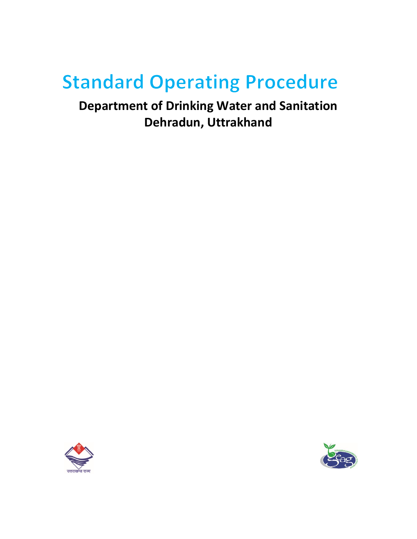# **Standard Operating Procedure**

**Department of Drinking Water and Sanitation Dehradun, Uttrakhand**



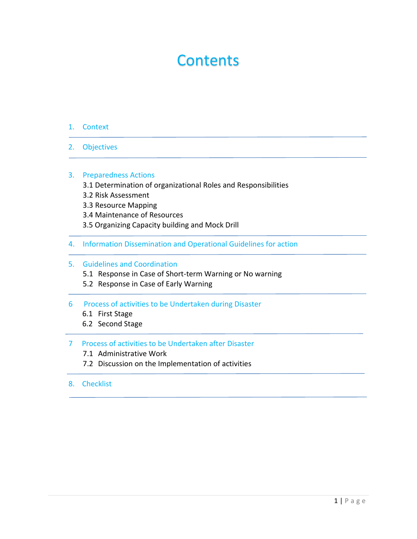# **Contents**

- 1. Context
- 2. Objectives

#### 3. Preparedness Actions

- 3.1 Determination of organizational Roles and Responsibilities
- 3.2 Risk Assessment
- 3.3 Resource Mapping
- 3.4 Maintenance of Resources
- 3.5 Organizing Capacity building and Mock Drill
- 4. Information Dissemination and Operational Guidelines for action

#### 5. Guidelines and Coordination

- 5.1 Response in Case of Short-term Warning or No warning
- 5.2 Response in Case of Early Warning
- 6 Process of activities to be Undertaken during Disaster
	- 6.1 First Stage
	- 6.2 Second Stage

# 7 Process of activities to be Undertaken after Disaster

- 7.1 Administrative Work
- 7.2 Discussion on the Implementation of activities
- 8. Checklist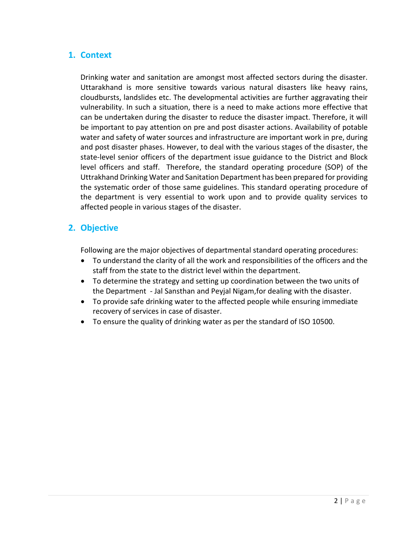# **1. Context**

Drinking water and sanitation are amongst most affected sectors during the disaster. Uttarakhand is more sensitive towards various natural disasters like heavy rains, cloudbursts, landslides etc. The developmental activities are further aggravating their vulnerability. In such a situation, there is a need to make actions more effective that can be undertaken during the disaster to reduce the disaster impact. Therefore, it will be important to pay attention on pre and post disaster actions. Availability of potable water and safety of water sources and infrastructure are important work in pre, during and post disaster phases. However, to deal with the various stages of the disaster, the state-level senior officers of the department issue guidance to the District and Block level officers and staff. Therefore, the standard operating procedure (SOP) of the Uttrakhand Drinking Water and Sanitation Department has been prepared for providing the systematic order of those same guidelines. This standard operating procedure of the department is very essential to work upon and to provide quality services to affected people in various stages of the disaster.

# **2. Objective**

Following are the major objectives of departmental standard operating procedures:

- To understand the clarity of all the work and responsibilities of the officers and the staff from the state to the district level within the department.
- To determine the strategy and setting up coordination between the two units of the Department - Jal Sansthan and Peyjal Nigam,for dealing with the disaster.
- To provide safe drinking water to the affected people while ensuring immediate recovery of services in case of disaster.
- To ensure the quality of drinking water as per the standard of ISO 10500.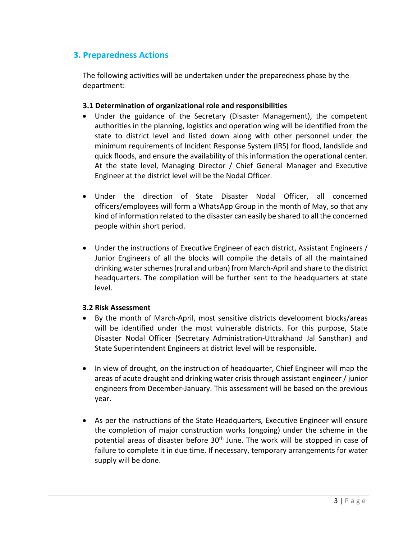# **3. Preparedness Actions**

The following activities will be undertaken under the preparedness phase by the department:

# **3.1 Determination of organizational role and responsibilities**

- Under the guidance of the Secretary (Disaster Management), the competent authorities in the planning, logistics and operation wing will be identified from the state to district level and listed down along with other personnel under the minimum requirements of Incident Response System (IRS) for flood, landslide and quick floods, and ensure the availability of this information the operational center. At the state level, Managing Director / Chief General Manager and Executive Engineer at the district level will be the Nodal Officer.
- Under the direction of State Disaster Nodal Officer, all concerned officers/employees will form a WhatsApp Group in the month of May, so that any kind of information related to the disaster can easily be shared to all the concerned people within short period.
- Under the instructions of Executive Engineer of each district, Assistant Engineers / Junior Engineers of all the blocks will compile the details of all the maintained drinking water schemes (rural and urban) from March-April and share to the district headquarters. The compilation will be further sent to the headquarters at state level.

#### **3.2 Risk Assessment**

- By the month of March-April, most sensitive districts development blocks/areas will be identified under the most vulnerable districts. For this purpose, State Disaster Nodal Officer (Secretary Administration-Uttrakhand Jal Sansthan) and State Superintendent Engineers at district level will be responsible.
- In view of drought, on the instruction of headquarter, Chief Engineer will map the areas of acute draught and drinking water crisis through assistant engineer / junior engineers from December-January. This assessment will be based on the previous year.
- As per the instructions of the State Headquarters, Executive Engineer will ensure the completion of major construction works (ongoing) under the scheme in the potential areas of disaster before  $30<sup>th</sup>$  June. The work will be stopped in case of failure to complete it in due time. If necessary, temporary arrangements for water supply will be done.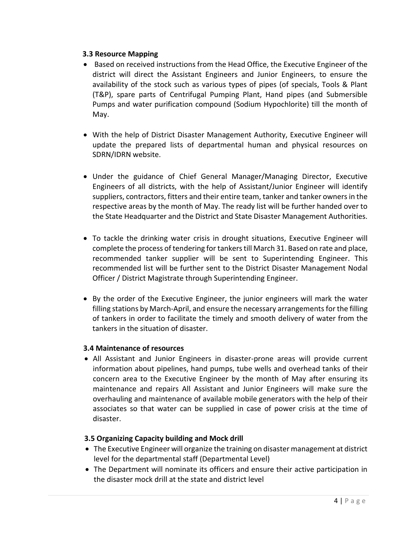#### **3.3 Resource Mapping**

- Based on received instructions from the Head Office, the Executive Engineer of the district will direct the Assistant Engineers and Junior Engineers, to ensure the availability of the stock such as various types of pipes (of specials, Tools & Plant (T&P), spare parts of Centrifugal Pumping Plant, Hand pipes (and Submersible Pumps and water purification compound (Sodium Hypochlorite) till the month of May.
- With the help of District Disaster Management Authority, Executive Engineer will update the prepared lists of departmental human and physical resources on SDRN/IDRN website.
- Under the guidance of Chief General Manager/Managing Director, Executive Engineers of all districts, with the help of Assistant/Junior Engineer will identify suppliers, contractors, fitters and their entire team, tanker and tanker owners in the respective areas by the month of May. The ready list will be further handed over to the State Headquarter and the District and State Disaster Management Authorities.
- To tackle the drinking water crisis in drought situations, Executive Engineer will complete the process of tendering for tankers till March 31. Based on rate and place, recommended tanker supplier will be sent to Superintending Engineer. This recommended list will be further sent to the District Disaster Management Nodal Officer / District Magistrate through Superintending Engineer.
- By the order of the Executive Engineer, the junior engineers will mark the water filling stations by March-April, and ensure the necessary arrangements for the filling of tankers in order to facilitate the timely and smooth delivery of water from the tankers in the situation of disaster.

#### **3.4 Maintenance of resources**

 All Assistant and Junior Engineers in disaster-prone areas will provide current information about pipelines, hand pumps, tube wells and overhead tanks of their concern area to the Executive Engineer by the month of May after ensuring its maintenance and repairs All Assistant and Junior Engineers will make sure the overhauling and maintenance of available mobile generators with the help of their associates so that water can be supplied in case of power crisis at the time of disaster.

# **3.5 Organizing Capacity building and Mock drill**

- The Executive Engineer will organize the training on disaster management at district level for the departmental staff (Departmental Level)
- The Department will nominate its officers and ensure their active participation in the disaster mock drill at the state and district level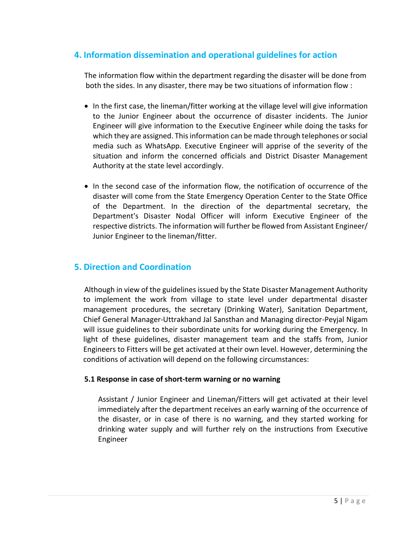# **4. Information dissemination and operational guidelines for action**

The information flow within the department regarding the disaster will be done from both the sides. In any disaster, there may be two situations of information flow :

- In the first case, the lineman/fitter working at the village level will give information to the Junior Engineer about the occurrence of disaster incidents. The Junior Engineer will give information to the Executive Engineer while doing the tasks for which they are assigned. This information can be made through telephones or social media such as WhatsApp. Executive Engineer will apprise of the severity of the situation and inform the concerned officials and District Disaster Management Authority at the state level accordingly.
- In the second case of the information flow, the notification of occurrence of the disaster will come from the State Emergency Operation Center to the State Office of the Department. In the direction of the departmental secretary, the Department's Disaster Nodal Officer will inform Executive Engineer of the respective districts. The information will further be flowed from Assistant Engineer/ Junior Engineer to the lineman/fitter.

# **5. Direction and Coordination**

Although in view of the guidelines issued by the State Disaster Management Authority to implement the work from village to state level under departmental disaster management procedures, the secretary (Drinking Water), Sanitation Department, Chief General Manager-Uttrakhand Jal Sansthan and Managing director-Peyjal Nigam will issue guidelines to their subordinate units for working during the Emergency. In light of these guidelines, disaster management team and the staffs from, Junior Engineers to Fitters will be get activated at their own level. However, determining the conditions of activation will depend on the following circumstances:

# **5.1 Response in case of short-term warning or no warning**

Assistant / Junior Engineer and Lineman/Fitters will get activated at their level immediately after the department receives an early warning of the occurrence of the disaster, or in case of there is no warning, and they started working for drinking water supply and will further rely on the instructions from Executive Engineer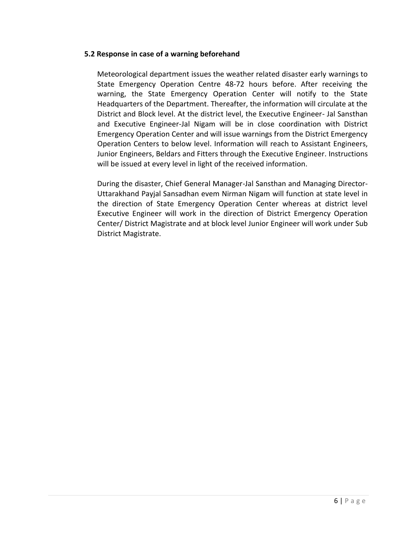#### **5.2 Response in case of a warning beforehand**

Meteorological department issues the weather related disaster early warnings to State Emergency Operation Centre 48-72 hours before. After receiving the warning, the State Emergency Operation Center will notify to the State Headquarters of the Department. Thereafter, the information will circulate at the District and Block level. At the district level, the Executive Engineer- Jal Sansthan and Executive Engineer-Jal Nigam will be in close coordination with District Emergency Operation Center and will issue warnings from the District Emergency Operation Centers to below level. Information will reach to Assistant Engineers, Junior Engineers, Beldars and Fitters through the Executive Engineer. Instructions will be issued at every level in light of the received information.

During the disaster, Chief General Manager-Jal Sansthan and Managing Director-Uttarakhand Payjal Sansadhan evem Nirman Nigam will function at state level in the direction of State Emergency Operation Center whereas at district level Executive Engineer will work in the direction of District Emergency Operation Center/ District Magistrate and at block level Junior Engineer will work under Sub District Magistrate.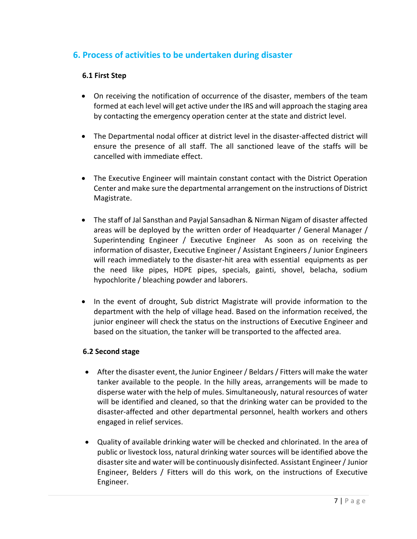# **6. Process of activities to be undertaken during disaster**

# **6.1 First Step**

- On receiving the notification of occurrence of the disaster, members of the team formed at each level will get active under the IRS and will approach the staging area by contacting the emergency operation center at the state and district level.
- The Departmental nodal officer at district level in the disaster-affected district will ensure the presence of all staff. The all sanctioned leave of the staffs will be cancelled with immediate effect.
- The Executive Engineer will maintain constant contact with the District Operation Center and make sure the departmental arrangement on the instructions of District Magistrate.
- The staff of Jal Sansthan and Payjal Sansadhan & Nirman Nigam of disaster affected areas will be deployed by the written order of Headquarter / General Manager / Superintending Engineer / Executive Engineer As soon as on receiving the information of disaster, Executive Engineer / Assistant Engineers / Junior Engineers will reach immediately to the disaster-hit area with essential equipments as per the need like pipes, HDPE pipes, specials, gainti, shovel, belacha, sodium hypochlorite / bleaching powder and laborers.
- In the event of drought, Sub district Magistrate will provide information to the department with the help of village head. Based on the information received, the junior engineer will check the status on the instructions of Executive Engineer and based on the situation, the tanker will be transported to the affected area.

#### **6.2 Second stage**

- After the disaster event, the Junior Engineer / Beldars / Fitters will make the water tanker available to the people. In the hilly areas, arrangements will be made to disperse water with the help of mules. Simultaneously, natural resources of water will be identified and cleaned, so that the drinking water can be provided to the disaster-affected and other departmental personnel, health workers and others engaged in relief services.
- Quality of available drinking water will be checked and chlorinated. In the area of public or livestock loss, natural drinking water sources will be identified above the disaster site and water will be continuously disinfected. Assistant Engineer / Junior Engineer, Belders / Fitters will do this work, on the instructions of Executive Engineer.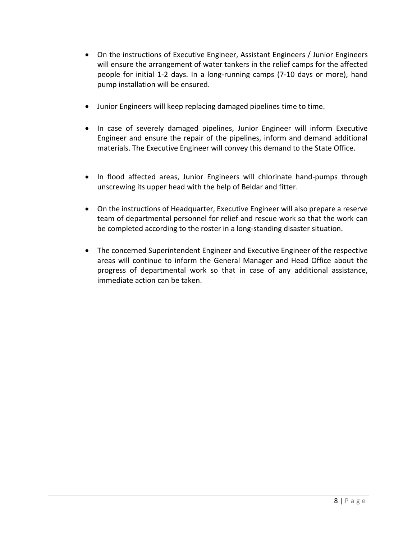- On the instructions of Executive Engineer, Assistant Engineers / Junior Engineers will ensure the arrangement of water tankers in the relief camps for the affected people for initial 1-2 days. In a long-running camps (7-10 days or more), hand pump installation will be ensured.
- Junior Engineers will keep replacing damaged pipelines time to time.
- In case of severely damaged pipelines, Junior Engineer will inform Executive Engineer and ensure the repair of the pipelines, inform and demand additional materials. The Executive Engineer will convey this demand to the State Office.
- In flood affected areas, Junior Engineers will chlorinate hand-pumps through unscrewing its upper head with the help of Beldar and fitter.
- On the instructions of Headquarter, Executive Engineer will also prepare a reserve team of departmental personnel for relief and rescue work so that the work can be completed according to the roster in a long-standing disaster situation.
- The concerned Superintendent Engineer and Executive Engineer of the respective areas will continue to inform the General Manager and Head Office about the progress of departmental work so that in case of any additional assistance, immediate action can be taken.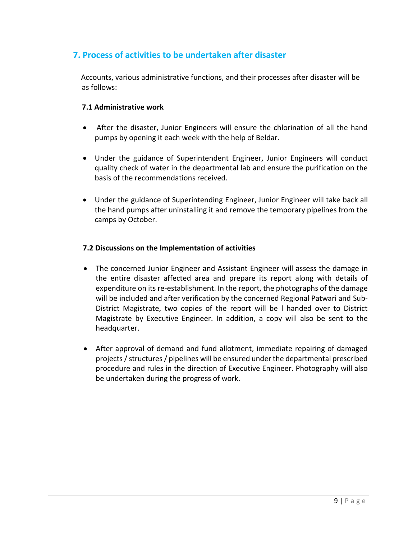# **7. Process of activities to be undertaken after disaster**

 Accounts, various administrative functions, and their processes after disaster will be as follows:

#### **7.1 Administrative work**

- After the disaster, Junior Engineers will ensure the chlorination of all the hand pumps by opening it each week with the help of Beldar.
- Under the guidance of Superintendent Engineer, Junior Engineers will conduct quality check of water in the departmental lab and ensure the purification on the basis of the recommendations received.
- Under the guidance of Superintending Engineer, Junior Engineer will take back all the hand pumps after uninstalling it and remove the temporary pipelines from the camps by October.

#### **7.2 Discussions on the Implementation of activities**

- The concerned Junior Engineer and Assistant Engineer will assess the damage in the entire disaster affected area and prepare its report along with details of expenditure on its re-establishment. In the report, the photographs of the damage will be included and after verification by the concerned Regional Patwari and Sub-District Magistrate, two copies of the report will be l handed over to District Magistrate by Executive Engineer. In addition, a copy will also be sent to the headquarter.
- After approval of demand and fund allotment, immediate repairing of damaged projects/ structures / pipelines will be ensured under the departmental prescribed procedure and rules in the direction of Executive Engineer. Photography will also be undertaken during the progress of work.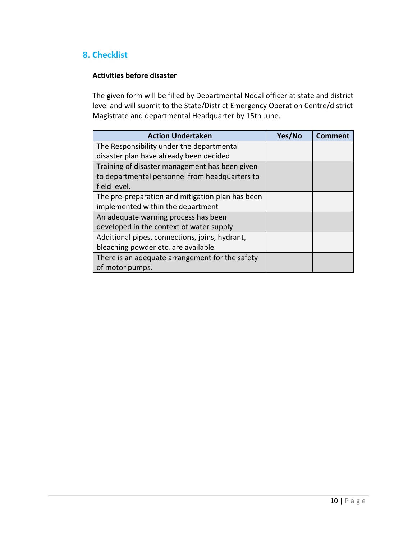# **8. Checklist**

# **Activities before disaster**

The given form will be filled by Departmental Nodal officer at state and district level and will submit to the State/District Emergency Operation Centre/district Magistrate and departmental Headquarter by 15th June.

| <b>Action Undertaken</b>                         | Yes/No | Comment |
|--------------------------------------------------|--------|---------|
| The Responsibility under the departmental        |        |         |
| disaster plan have already been decided          |        |         |
| Training of disaster management has been given   |        |         |
| to departmental personnel from headquarters to   |        |         |
| field level.                                     |        |         |
| The pre-preparation and mitigation plan has been |        |         |
| implemented within the department                |        |         |
| An adequate warning process has been             |        |         |
| developed in the context of water supply         |        |         |
| Additional pipes, connections, joins, hydrant,   |        |         |
| bleaching powder etc. are available              |        |         |
| There is an adequate arrangement for the safety  |        |         |
| of motor pumps.                                  |        |         |